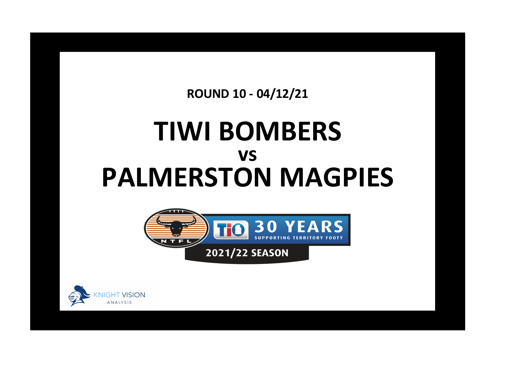**ROUND 10 - 04/12/21**

## **TIWI BOMBERS PALMERSTON MAGPIES vs**



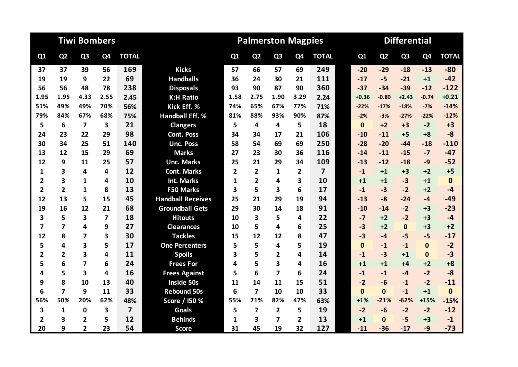|                         |                         | <b>Tiwi Bombers</b>     |      |                |                          |                | <b>Palmerston Magpies</b> |                         |                |                         | <b>Differential</b> |                |                |                |              |  |  |
|-------------------------|-------------------------|-------------------------|------|----------------|--------------------------|----------------|---------------------------|-------------------------|----------------|-------------------------|---------------------|----------------|----------------|----------------|--------------|--|--|
| Q1                      | Q <sub>2</sub>          | Q <sub>3</sub>          | Q4   | <b>TOTAL</b>   |                          | Q <sub>1</sub> | Q <sub>2</sub>            | Q <sub>3</sub>          | Q4             | <b>TOTAL</b>            | Q1                  | Q <sub>2</sub> | Q <sub>3</sub> | Q <sub>4</sub> | <b>TOTAL</b> |  |  |
| 37                      | 37                      | 39                      | 56   | 169            | <b>Kicks</b>             | 57             | 66                        | 57                      | 69             | 249                     | $-20$               | $-29$          | $-18$          | $-13$          | $-80$        |  |  |
| 19                      | 19                      | 9                       | 22   | 69             | <b>Handballs</b>         | 36             | 24                        | 30                      | 21             | 111                     | $-17$               | $-5$           | $-21$          | $+1$           | $-42$        |  |  |
| 56                      | 56                      | 48                      | 78   | 238            | <b>Disposals</b>         | 93             | 90                        | 87                      | 90             | 360                     | $-37$               | $-34$          | $-39$          | $-12$          | $-122$       |  |  |
| 1.95                    | 1.95                    | 4.33                    | 2.55 | 2.45           | <b>K:H Ratio</b>         | 1.58           | 2.75                      | 1.90                    | 3.29           | 2.24                    | $+0.36$             | $-0.80$        | $+2.43$        | $-0.74$        | $+0.21$      |  |  |
| 51%                     | 49%                     | 49%                     | 70%  | 56%            | Kick Eff. %              | 74%            | 65%                       | 67%                     | 77%            | 71%                     | $-22%$              | $-17%$         | $-18%$         | $-7%$          | $-14%$       |  |  |
| 79%                     | 84%                     | 67%                     | 68%  | 75%            | <b>Handball Eff. %</b>   | 81%            | 88%                       | 93%                     | 90%            | 87%                     | $-2%$               | $-3%$          | $-27%$         | $-22%$         | $-12%$       |  |  |
| 5                       | 6                       | $\overline{7}$          | 3    | 21             | <b>Clangers</b>          | 5              | 4                         | 4                       | 5              | 18                      | $\mathbf{0}$        | $+2$           | $+3$           | $-2$           | $+3$         |  |  |
| 24                      | 23                      | 22                      | 29   | 98             | <b>Cont. Poss</b>        | 34             | 34                        | 17                      | 21             | 106                     | $-10$               | $-11$          | $+5$           | $+8$           | $-8$         |  |  |
| 30                      | 34                      | 25                      | 51   | 140            | <b>Unc. Poss</b>         | 58             | 54                        | 69                      | 69             | 250                     | $-28$               | $-20$          | $-44$          | $-18$          | $-110$       |  |  |
| 13                      | 12                      | 15                      | 29   | 69             | <b>Marks</b>             | 27             | 23                        | 30                      | 36             | 116                     | $-14$               | $-11$          | $-15$          | $-7$           | $-47$        |  |  |
| 12                      | 9                       | 11                      | 25   | 57             | <b>Unc. Marks</b>        | 25             | 21                        | 29                      | 34             | 109                     | $-13$               | $-12$          | $-18$          | $-9$           | $-52$        |  |  |
| 1                       | 3                       | 4                       | 4    | 12             | <b>Cont. Marks</b>       | $\overline{2}$ | $\overline{2}$            | 1                       | 2              | $\overline{\mathbf{z}}$ | $-1$                | $+1$           | $+3$           | $+2$           | $+5$         |  |  |
| 2                       | 3                       | $\mathbf{1}$            | 4    | 10             | <b>Int. Marks</b>        | 1              | $\overline{2}$            | 4                       | 3              | 10                      | $+1$                | $+1$           | $-3$           | $+1$           | $\mathbf{0}$ |  |  |
| $\overline{2}$          | $\overline{2}$          | 1                       | 8    | 13             | <b>F50 Marks</b>         | 3              | 5                         | 3                       | 6              | 17                      | $-1$                | $-3$           | $-2$           | $+2$           | $-4$         |  |  |
| 12                      | 13                      | 5                       | 15   | 45             | <b>Handball Receives</b> | 25             | 21                        | 29                      | 19             | 94                      | $-13$               | $-8$           | $-24$          | $-4$           | $-49$        |  |  |
| 19                      | 16                      | 12                      | 21   | 68             | <b>Groundball Gets</b>   | 29             | 30                        | 14                      | 18             | 91                      | $-10$               | $-14$          | $-2$           | $+3$           | $-23$        |  |  |
| 3                       | 5                       | 3                       | 7    | 18             | <b>Hitouts</b>           | 10             | 3                         | 5                       | 4              | 22                      | $-7$                | $+2$           | $-2$           | $+3$           | $-4$         |  |  |
| $\overline{\mathbf{z}}$ | $\overline{\mathbf{z}}$ | 4                       | 9    | 27             | <b>Clearances</b>        | 10             | 5                         | 4                       | 6              | 25                      | $-3$                | $+2$           | $\mathbf{0}$   | $+3$           | $+2$         |  |  |
| 12                      | 8                       | $\overline{ }$          | 3    | 30             | <b>Tackles</b>           | 15             | 12                        | 12                      | 8              | 47                      | $-3$                | $-4$           | $-5$           | $-5$           | $-17$        |  |  |
| 5                       | 4                       | 3                       | 5    | 17             | <b>One Percenters</b>    | 5              | 5                         | 4                       | 5              | 19                      | $\mathbf{0}$        | $-1$           | $-1$           | $\mathbf{0}$   | $-2$         |  |  |
| $\overline{2}$          | $\overline{\mathbf{2}}$ | $\overline{\mathbf{3}}$ | 4    | 11             | <b>Spoils</b>            | 3              | 5                         | 2                       | 4              | 14                      | $-1$                | $-3$           | $+1$           | $\mathbf 0$    | $-3$         |  |  |
| 5                       | 6                       | $\overline{7}$          | 6    | 24             | <b>Frees For</b>         | 4              | 5                         | $\overline{\mathbf{3}}$ | 4              | 16                      | $+1$                | $+1$           | $+4$           | $+2$           | $+8$         |  |  |
| 4                       | 5                       | $\overline{\mathbf{3}}$ | 4    | 16             | <b>Frees Against</b>     | 5              | 6                         | $\overline{7}$          | 6              | 24                      | $-1$                | $-1$           | $-4$           | $-2$           | $-8$         |  |  |
| 9                       | 8                       | 10                      | 13   | 40             | <b>Inside 50s</b>        | 11             | 14                        | 11                      | 15             | 51                      | $-2$                | $-6$           | $-1$           | $-2$           | $-11$        |  |  |
| 6                       | $\overline{7}$          | 9                       | 11   | 33             | <b>Rebound 50s</b>       | 6              | $\overline{7}$            | 10                      | 10             | 33                      | $\mathbf{0}$        | $\mathbf{0}$   | $-1$           | $+1$           | $\mathbf{0}$ |  |  |
| 56%                     | 50%                     | 20%                     | 62%  | 48%            | Score / 150 %            | 55%            | 71%                       | 82%                     | 47%            | 63%                     | $+1%$               | $-21%$         | $-62%$         | $+15%$         | $-15%$       |  |  |
| 3                       | $\mathbf{1}$            | $\mathbf 0$             | 3    | $\overline{7}$ | Goals                    | 5              | $\overline{ }$            | $\overline{2}$          | 5              | 19                      | $-2$                | $-6$           | $-2$           | $-2$           | $-12$        |  |  |
| $\overline{2}$          | 3                       | $\overline{2}$          | 5    | 12             | <b>Behinds</b>           | 1              | 3                         | $\overline{ }$          | $\overline{2}$ | 13                      | $+1$                | $\Omega$       | $-5$           | $+3$           | $-1$         |  |  |
| 20                      | 9                       | 2                       | 23   | 54             | <b>Score</b>             | 31             | 45                        | 19                      | 32             | 127                     | $-11$               | $-36$          | $-17$          | $-9$           | $-73$        |  |  |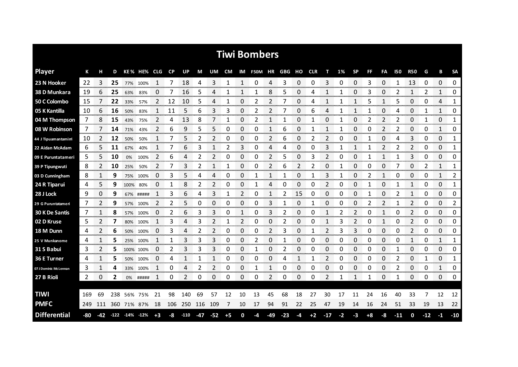|                       |     |     |     |                        |             |                |           |        |       |       |      |    | <b>Tiwi Bombers</b> |     |       |    |            |       |      |              |                |              |            |                        |       |             |                     |
|-----------------------|-----|-----|-----|------------------------|-------------|----------------|-----------|--------|-------|-------|------|----|---------------------|-----|-------|----|------------|-------|------|--------------|----------------|--------------|------------|------------------------|-------|-------------|---------------------|
| <b>Player</b>         | К   | н   | D   |                        | KE% HE% CLG |                | <b>CP</b> | UP     | M     | UM    | CM   |    | IM F50M HR GBG      |     |       | HO | <b>CLR</b> |       | 1%   | <b>SP</b>    | FF.            | FA           | <b>150</b> | <b>R50</b>             | G     | В           | <b>SA</b>           |
| 23 N Hooker           | 22  | 3   | 25  | 77%                    | 100%        | 1              |           | 18     | 4     | 3     | 1    | 1  | 0                   | 4   | 3     | 0  | 0          | 3     | 0    | 0            | 3              | 0            |            | 13                     | 0     | 0           | 0<br>.              |
| 38 D Munkara          | 19  | 6   | 25  | 63%                    | 83%         | 0              | 7         | 16     | 5     | 4     | 1    | 1  | 1                   | 8   | 5     | 0  | 4          | 1     | 1    | 0            | 3              | 0            | 2          | 1                      | 2     | 1           | 0                   |
| 50 C Colombo          | 15  |     | 22  | 33%                    | 57%         | 2              | 12        | 10     | 5     | 4     | 1    | 0  | 2                   | 2   |       | 0  | 4          | 1     |      | 1            | 5              | 1            | 5          | 0                      | 0     | 4           | 1                   |
| 05 K Kantilla         | 10  | 6   | 16  | 50%                    | 83%         | 1              | 11        | 5      | 6     | 3     | 3    | 0  | 2                   | 2   |       | 0  | 6          | 4     | 1    | $\mathbf{1}$ | 1              | 0            | 4          | 0                      | 1     | 1           | 0                   |
| 04 M Thompson         | 7   | 8   | 15  | 43%                    | 75%         | 2              | 4         | 13     | 8     | 7     | 1    | 0  | 2                   | 1   |       | 0  | 1          | 0     | 1    | 0            | $\overline{2}$ | 2            | 2          | 0                      | 1     | 0           | 1                   |
| 08 W Robinson         | 7   | 7   | 14  | 71%                    | 43%         | 2              | 6         | 9      | 5     | 5     | 0    | 0  | 0                   | 1   | 6     | 0  | 1          | 1     | 1    | 0            | 0              | 2            | 2          | 0                      | 0     | 1           | 0                   |
| 44 J Tipuamantamirri  | 10  | 2   | 12  | 50%                    | 50%         | 1              | 7         | 5      | 2     | 2     | 0    | 0  | 0                   | 2   | 6     | 0  | 2          | 2     | 0    | 0            |                | 0            | 4          | 3                      | 0     | 0           | 1                   |
| 22 Aidan McAdam       | 6   | 5   | 11  | 67%                    | 40%         | 1              | 7         | 6      | 3     | 1     | 2    | 3  | 0                   | 4   | 4     | 0  | 0          | 3     | 1    | 1            | 1              | 2            | 2          | 2                      | 0     | 0           | 1                   |
| 09 E Puruntatameri    | 5   | 5   | 10  | 0%                     | 100%        | $\overline{2}$ | 6         | 4      | 2     | 2     | 0    | 0  | 0                   | 2   | 5     | 0  | 3          | 2     | 0    | 0            | 1              | $\mathbf{1}$ |            | 3                      | 0     | 0           | 0                   |
| 39 P Tipungwuti       | 8   | 2   | 10  | 25%                    | 50%         | 2              | 7         | 3      | 2     | 1     | 1    | 0  | 0                   | 2   | 6     | 2  | 2          | 0     | 1    | 0            | 0              | 0            | 7          | 0                      | 2     | 1           | 1                   |
| 03 D Cunningham       | 8   |     | 9   | 75%                    | 100%        | 0              | 3         | 5      | 4     | 4     | 0    | 0  |                     |     |       | 0  |            | 3     |      | 0            | 2              |              | 0          | 0                      | 0     | 1           | 2                   |
| 24 R Tiparui          | 4   | 5   | 9   | 100%                   | 80%         | 0              | 1         | 8      | 2     | 2     | 0    | 0  |                     | 4   | 0     | 0  | 0          | 2     | 0    | 0            | 1              | 0            |            | 1                      | 0     | 0           | 1                   |
| 28 J Lock             | 9   | 0   | 9   |                        | 67% #####   |                | 3         | 6      | 4     | 3     | 1    | 2  | 0                   | 1   | 2     | 15 | 0          | 0     | 0    | 0            |                | 0            | 2          | 1                      | 0     | 0           | 0                   |
| 29 G Puruntatameri    | 7   | 2   | 9   | 57%                    | 100%        | 2              | 2         | 5      | 0     | 0     | 0    | 0  | 0                   | 3   |       | 0  |            | 0     | 0    | 0            | 2              | 2            |            | 2                      | 0     | 0           | 2                   |
| 30 K De Santis        | 7   |     | 8   | 57%                    | 100%        | 0              | 2         | 6      | 3     | 3     | 0    |    | 0                   | 3   | 2     | 0  | 0          |       | 2    | 2            | Ω              |              | 0          | 2<br><b>STATISTICS</b> | 0     | 0<br>an man | 0<br>www            |
| 02 D Kruse            | 5   |     |     | 80%                    | 100%        |                | 3         | 4      | 3     |       |      | 2  | 0                   | 0   | 2     | 0  | O          |       | 3    | 2            | 0              |              | O          | 2<br>www.              | 0     | 0           | 0<br>onnoon         |
| 18 M Dunn             | 4   | 2   | 6   | 50%                    | 100%        | 0              | 3         | 4      | 2     | 2     | 0    | 0  | 0                   | 2   | 3     | 0  |            | 2     | 3    | 3            | 0              | 0            | 0          | 2<br>ana an            | 0     | 0           | 0<br>www.com        |
| 25 V Munkanome        | 4   |     | 5   | 25%                    | 100%        |                |           | 3      | 3     | 3     | 0    | 0  | 2                   | 0   |       | 0  | 0          | 0     | 0    | 0            | 0              | 0            | C          | 1                      | 0     | 1           | 1                   |
| 31 S Babui            | 3   | 2   | 5   |                        | 100% 100%   | 0              | 2         | 3      | 3     | 3     | 0    | 0  |                     | 0   | 2     | 0  | 0          | 0     | 0    | 0            | 0              | 0            |            | 0                      | 0     | 0           | 0                   |
| 36 E Turner           | 4   | 1   | 5   | 50%                    | 100%        | 0              | 4         |        | 1     | 1     | 0    | 0  | 0                   | 0   | 4     | 1  |            | 2     | 0    | 0            | 0              | 0            | 2          | 0                      | 1     | 0           | 1<br><b>TOTO OF</b> |
| 07 J Dominic McLennan | 3   | 1   | 4   | 33%                    | 100%        | 1              | 0         | 4      | 2     | 2     | 0    | 0  | 1                   | 1   | 0     | 0  | 0          | 0     | 0    | 0            | 0              | 0            | 2          | 0                      | 0     | 1           | 0                   |
| 27 B Rioli            | 2   | 0   | 2   | 0%                     | #####       | 1              | 0         | 2      | 0     | 0     | 0    | 0  | 0                   | 2   | 0     | 0  | 0          | 2     |      | 1            | -1             | 0            | 1          | 0                      | 0     | 0           | 0                   |
|                       |     |     |     |                        |             |                |           |        |       |       |      |    |                     |     |       |    |            |       |      |              |                |              |            |                        |       |             |                     |
| <b>TIWI</b>           | 169 | 69  | 238 | 56%                    | 75%         | 21             | 98        | 140    | 69    | 57    | 12   | 10 | 13                  | 45  | 68    | 18 | 27         | 30    | 17   | 11           | 24             | 16           | 40         | 33                     |       | 12          | 12                  |
| <b>PMFC</b>           | 249 | 111 | 360 |                        | 71% 87%     | 18             | 106       | 250    | 116   | 109   | 7    | 10 | 17                  | 94  | 91    | 22 | 25         | 47    | 19   | 14           | 16             | 24           | 51         | 33                     | 19    | 13          | 22                  |
| <b>Differential</b>   | -80 | -42 |     | $-122$ $-14\%$ $-12\%$ |             | $+3$           | -8        | $-110$ | $-47$ | $-52$ | $+5$ | 0  | -4                  | -49 | $-23$ | -4 | $+2$       | $-17$ | $-2$ | -3           | $+8$           | -8           | $-11$      | 0                      | $-12$ | $-1$        | $-10$               |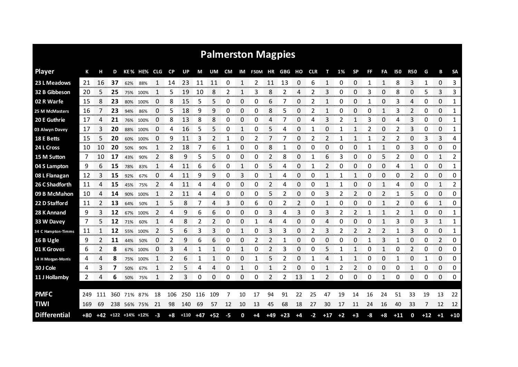|                     |     |     |     |     |                      |                |              |        |       |        |      |            | <b>Palmerston Magpies</b> |                |       |           |            |                |      |                |     |                |                |                |       |                           |                        |
|---------------------|-----|-----|-----|-----|----------------------|----------------|--------------|--------|-------|--------|------|------------|---------------------------|----------------|-------|-----------|------------|----------------|------|----------------|-----|----------------|----------------|----------------|-------|---------------------------|------------------------|
| <b>Player</b>       | К   |     | D   |     | KE% HE%              | <b>CLG</b>     | $\mathsf{C}$ | UP     | М     | UM     | CM   |            | IM F50M HR                |                | GBG   | но        | <b>CLR</b> |                | 1%   | <b>SP</b>      | FF. | FA             | 150            | <b>R50</b>     | G     | B                         | <b>SA</b>              |
| 23 L Meadows        | 21  | 16  | 37  | 62% | 88%                  | 1              | 14           | 23     | 11    | 11     | 0    | 1          | 2                         | 11             | 13    | 0         | 6          | 1              | 0    | 0              | -1  | 1              | 8              | 3              | 1     | 0                         | 3<br>                  |
| 32 B Gibbeson       | 20  | 5   | 25  | 75% | 100%                 | 1              | 5            | 19     | 10    | 8      | 2    | 1          | 3                         | 8              | 2     | 4         | 2          | 3              | 0    | 0              | 3   | 0              | 8              | 0              | 5     | 3                         | 3                      |
| 02 R Warfe          | 15  | 8   | 23  | 80% | 100%                 | 0              | 8            | 15     | 5     | 5      | 0    | 0          | 0                         | 6              |       | 0         |            | 1              | Ω    | 0              |     | 0              | 3              | 4              | 0     | 0                         | 1                      |
| 25 M McMasters      | 16  | 7   | 23  | 94% | 86%                  | 0              | 5            | 18     | 9     | 9      | 0    | 0          | 0                         | 8              | 5     | 0         | 2          | 1              | 0    | 0              | 0   | 1              | 3              | 2              | 0     | 0                         | 1                      |
| 20 E Guthrie        | 17  | 4   | 21  |     | 76% 100%             | 0              | 8            | 13     | 8     | 8      | 0    | 0          | 0                         | 4              |       | 0         | 4          | 3              | 2    | 1              | 3   | 0              | 4              | 3              | 0     | 0                         | 1                      |
| 03 Alwyn Davey      | 17  | 3   | 20  | 88% | 100%                 | 0              | 4            | 16     | 5     | 5      | 0    | 1          | 0                         | 5              | 4     | 0         | 1          | 0              | 1    | $\mathbf{1}$   | 2   | 0              | 2              | 3              | 0     | 0                         | 1                      |
| <b>18 E Betts</b>   | 15  | 5   | 20  | 60% | 100%                 | 0              | 9            | 11     | 3     | 2      | 1    | 0          | 2                         | 7              |       | 0         | 2          | 2              | 1    | 1              |     | 2              | 2              | 0              | 3     | 3                         | 4                      |
| 24 L Cross          | 10  | 10  | 20  | 50% | 90%                  | 1              | 2            | 18     | 7     | 6      | 1    | 0          | 0                         | 8              | 1     | 0         | 0          | 0              | 0    | 0              | 1   | 1              | 0              | 3              | 0     | 0                         | 0                      |
| 15 M Sutton         | 7   | 10  | 17  | 43% | 90%                  | 2              | 8            | 9      | 5     | 5      | 0    | 0          | 0                         | $\overline{2}$ | 8     | 0         | 1          | 6              | 3    | 0              | 0   | 5              | 2              | 0              | 0     | 1                         | 2                      |
| 04 S Lampton        | 9   | 6   | 15  | 78% | 83%                  | $\mathbf{1}$   | 4            | 11     | 6     | 6      | 0    | 1          | 0                         | 5              | 4     | 0         | 1          | $\overline{2}$ | 0    | 0              | 0   | 0              | 4              | 1              | 0     | 0                         | 1                      |
| 08 L Flanagan       | 12  | 3   | 15  | 92% | 67%                  | 0              | 4            | 11     | 9     | 9      | 0    | 3          | 0                         | 1              | 4     | 0         | 0          | $\mathbf{1}$   |      | 1              | 0   | 0              | 0              | 2              | 0     | 0                         | 0                      |
| 26 C Shadforth      | 11  | 4   | 15  | 45% | 75%                  | $\overline{2}$ | 4            | 11     | 4     | 4      | 0    | 0          | 0                         | 2              | 4     | 0         | 0          | 1              | 1    | 0              | 0   | 1              | 4              | 0              | 0     | 1                         | 2                      |
| 09 B McMahon        | 10  | 4   | 14  | 90% | 100%                 |                | 2            | 11     | 4     | 4      | 0    | 0          | 0                         | 5              | 2     | 0         | 0          | 3              | 2    | $\overline{2}$ | 0   | $\overline{2}$ |                | 5              | 0     | 0                         | 0                      |
| 22 D Stafford       | 11  | 2   | 13  | 64% | 50%                  |                | 5            | 8      |       | 4      | 3    | 0          | 6                         | 0              | 2     | 2         | 0          | 1              | 0    | 0              | 0   |                | 2              | 0              | 6     | 1                         | 0                      |
| 28 K Annand         | 9   | 3   | 12  | 67% | 100%                 | 2              | 4            | 9      | 6     | 6      | 0    | 0          | 0                         | 3              | 4     | 3         | 0          | 3              | 2    | 2              |     |                | 2              | 1              | 0     | 0                         | 1                      |
| 33 W Davey          | 7   | 5   | 12  | 71% | 60%                  |                | 4            | 8      | 2     | 2      | 0    | 0          |                           | 4              | 4     | 0         | 0          | 4              | 0    | 0              | C   |                | 3              | 0              | 3     | 1                         | 1<br>annan a           |
| 34 C Hampton-Timms  | 11  | 1   | 12  | 55% | 100%                 | 2              | 5            | 6      | 3     | 3      | 0    | 1          | 0                         | 3              | 3     | 0         | 2          | 3              | 2    | 2              | 2   | 2              |                | 3              | 0     | 0                         | 1<br>wana k            |
| 16 B Ugle           | 9   |     | 11  | 44% | 50%                  | 0              | 2            | 9      | 6     | 6      | 0    | ი          |                           | 2              |       | 0         | Ω          | 0              | Ω    | 0              |     | 3              |                | 0              | 0     | 2                         | 0                      |
| 01 K Groves         | 6   |     | 8   | 67% | 100%                 | 0              | 3            | 4      |       |        | 0    | 1          | 0                         | 2              | 3     | 0         | 0          | 5              |      | 1              | 0   | 1              | 0              | $\overline{2}$ | 0     | 0                         | 0                      |
| 14 H Morgan-Morris  | 4   | 4   | 8   | 75% | 100%                 |                | 2<br>manan a | 6      |       | man an | 0    | 0<br>mana. |                           | 5              | 2     | 0<br>mmm. |            | 4              |      |                | Ω   | 0<br>annon a   | <b>Secondo</b> | 0<br>oommo     | monor | 0<br><b>TOTAL CONTROL</b> | 0<br><b>CONTRACTOR</b> |
| 30 J Cole           | 4   | 3   |     | 50% | 67%                  |                | 2            | 5      | 4     | 4      | 0    |            | 0                         |                | 2     | 0         | 0          |                | 2    | 2              | 0   | 0              | 0              | 1              | 0     | 0                         | 0                      |
| 11 J Hollamby       | 2   | 4   | 6   | 50% | 75%                  |                | 2            | 3      | 0     | 0      | 0    | 0          | 0                         | 2              | 2     | 13        | 1          | 2              | 0    | 0              | 0   | 1              | 0              | 0              | 0     | 0                         | 0                      |
|                     |     |     |     |     |                      |                |              |        |       |        |      |            |                           |                |       |           |            |                |      |                |     |                |                |                |       |                           |                        |
| <b>PMFC</b>         | 249 | 111 | 360 | 71% | 87%                  | 18             | 106          | 250    | 116   | 109    |      | 10         | 17                        | 94             | 91    | 22        | 25         | 47             | 19   | 14             | 16  | 24             | 51             | 33             | 19    | 13                        | 22                     |
| <b>TIWI</b>         | 169 | 69  | 238 |     | 56% 75%              | 21             | 98           | 140    | 69    | 57     | 12   | 10         | 13                        | 45             | 68    | 18        | 27         | 30             | 17   | 11             | 24  | 16             | 40             | 33             | 7     | 12                        | 12                     |
| <b>Differential</b> | +80 |     |     |     | $+42$ +122 +14% +12% | -3             | $+8$         | $+110$ | $+47$ | $+52$  | $-5$ | 0          | $+4$                      | $+49$          | $+23$ | $+4$      | $-2$       | $+17$          | $+2$ | $+3$           | -8  | $+8$           | $+11$          | 0              | $+12$ | $+1$                      | $+10$                  |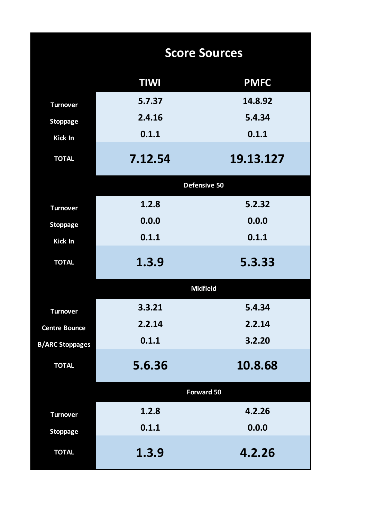|                        |             | <b>Score Sources</b> |
|------------------------|-------------|----------------------|
|                        | <b>TIWI</b> | <b>PMFC</b>          |
| <b>Turnover</b>        | 5.7.37      | 14.8.92              |
| <b>Stoppage</b>        | 2.4.16      | 5.4.34               |
| <b>Kick In</b>         | 0.1.1       | 0.1.1                |
| <b>TOTAL</b>           | 7.12.54     | 19.13.127            |
|                        |             | Defensive 50         |
| <b>Turnover</b>        | 1.2.8       | 5.2.32               |
| <b>Stoppage</b>        | 0.0.0       | 0.0.0                |
| <b>Kick In</b>         | 0.1.1       | 0.1.1                |
| <b>TOTAL</b>           | 1.3.9       | 5.3.33               |
|                        |             | <b>Midfield</b>      |
| <b>Turnover</b>        | 3.3.21      | 5.4.34               |
| <b>Centre Bounce</b>   | 2.2.14      | 2.2.14               |
| <b>B/ARC Stoppages</b> | 0.1.1       | 3.2.20               |
| <b>TOTAL</b>           | 5.6.36      | 10.8.68              |
|                        |             | Forward 50           |
| <b>Turnover</b>        | 1.2.8       | 4.2.26               |
| <b>Stoppage</b>        | 0.1.1       | 0.0.0                |
| <b>TOTAL</b>           | 1.3.9       | 4.2.26               |